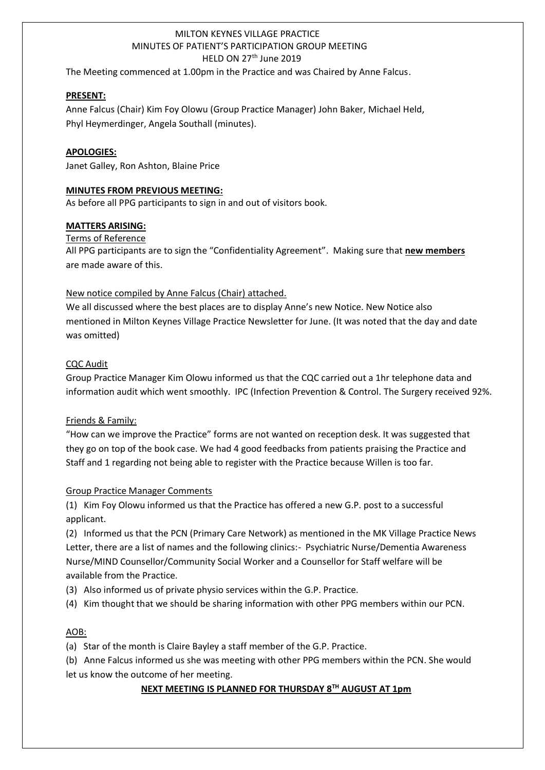# MILTON KEYNES VILLAGE PRACTICE MINUTES OF PATIENT'S PARTICIPATION GROUP MEETING HELD ON 27<sup>th</sup> June 2019

The Meeting commenced at 1.00pm in the Practice and was Chaired by Anne Falcus.

### **PRESENT:**

1

Anne Falcus (Chair) Kim Foy Olowu (Group Practice Manager) John Baker, Michael Held, Phyl Heymerdinger, Angela Southall (minutes).

### **APOLOGIES:**

Janet Galley, Ron Ashton, Blaine Price

### **MINUTES FROM PREVIOUS MEETING:**

As before all PPG participants to sign in and out of visitors book.

### **MATTERS ARISING:**

Terms of Reference

All PPG participants are to sign the "Confidentiality Agreement". Making sure that **new members** are made aware of this.

### New notice compiled by Anne Falcus (Chair) attached.

We all discussed where the best places are to display Anne's new Notice. New Notice also mentioned in Milton Keynes Village Practice Newsletter for June. (It was noted that the day and date was omitted)

### CQC Audit

Group Practice Manager Kim Olowu informed us that the CQC carried out a 1hr telephone data and information audit which went smoothly. IPC (Infection Prevention & Control. The Surgery received 92%.

## Friends & Family:

"How can we improve the Practice" forms are not wanted on reception desk. It was suggested that they go on top of the book case. We had 4 good feedbacks from patients praising the Practice and Staff and 1 regarding not being able to register with the Practice because Willen is too far.

#### Group Practice Manager Comments

(1) Kim Foy Olowu informed us that the Practice has offered a new G.P. post to a successful applicant.

(2) Informed us that the PCN (Primary Care Network) as mentioned in the MK Village Practice News Letter, there are a list of names and the following clinics:- Psychiatric Nurse/Dementia Awareness Nurse/MIND Counsellor/Community Social Worker and a Counsellor for Staff welfare will be available from the Practice.

- (3) Also informed us of private physio services within the G.P. Practice.
- (4) Kim thought that we should be sharing information with other PPG members within our PCN.

## AOB:

(a) Star of the month is Claire Bayley a staff member of the G.P. Practice.

(b) Anne Falcus informed us she was meeting with other PPG members within the PCN. She would let us know the outcome of her meeting.

## **NEXT MEETING IS PLANNED FOR THURSDAY 8TH AUGUST AT 1pm**